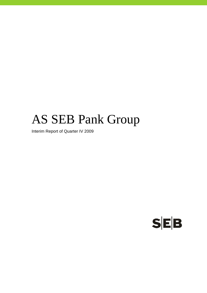# AS SEB Pank Group

Interim Report of Quarter IV 2009

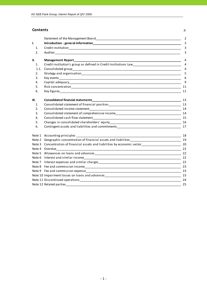### **Contents** p.

|      | Statement of the Management Board Statement of the Statement of the Management of the Management Board                                            | 2                       |
|------|---------------------------------------------------------------------------------------------------------------------------------------------------|-------------------------|
| I.   |                                                                                                                                                   | $\overline{3}$          |
| 1.   |                                                                                                                                                   | $\overline{\mathbf{3}}$ |
| 2.   |                                                                                                                                                   | 3                       |
| II.  | <b>Management Report_</b><br><u> 1989 - Johann John Stein, markin film yn y brenin y brenin y brenin y brenin y brenin y brenin y brenin y br</u> | 4                       |
| 1.   | Credit institution's group as defined in Credit Institutions Law                                                                                  | $\overline{4}$          |
| 1.1. |                                                                                                                                                   | $\overline{4}$          |
| 2.   |                                                                                                                                                   | 5                       |
| 3.   |                                                                                                                                                   | 6                       |
| 4.   |                                                                                                                                                   | 9                       |
| 5.   |                                                                                                                                                   | 11                      |
| 6.   |                                                                                                                                                   | 11                      |
| III. |                                                                                                                                                   |                         |
| 1.   |                                                                                                                                                   |                         |
| 2.   |                                                                                                                                                   |                         |
| 3.   | Consolidated statement of comprehensive income__________________________________                                                                  | 14                      |
| 4.   |                                                                                                                                                   |                         |
| 5.   |                                                                                                                                                   |                         |
| 6.   |                                                                                                                                                   |                         |
|      |                                                                                                                                                   | 18                      |
|      |                                                                                                                                                   |                         |
|      | Note 3 Concentration of financial assets and liabilities by economic sector___________________________________20                                  |                         |
|      | $\overline{\phantom{a}22}$<br>Note 4 Overdue                                                                                                      |                         |
|      |                                                                                                                                                   |                         |
|      |                                                                                                                                                   |                         |
|      |                                                                                                                                                   | 22                      |
|      |                                                                                                                                                   | 23                      |
|      |                                                                                                                                                   |                         |
|      |                                                                                                                                                   |                         |
|      |                                                                                                                                                   |                         |
|      |                                                                                                                                                   | 25                      |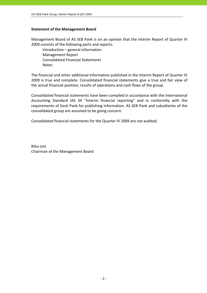# **Statement of the Management Board**

Management Board of AS SEB Pank is on an opinion that the Interim Report of Quarter IV 2009 consists of the following parts and reports:

 Introduction – general information Management Report Consolidated Financial Statements **Notes** 

The financial and other additional information published in the Interim Report of Quarter IV 2009 is true and complete. Consolidated financial statements give a true and fair view of the actual financial position, results of operations and cash flows of the group.

Consolidated financial statements have been compiled in accordance with the International Accounting Standard IAS 34 "Interim financial reporting" and in conformity with the requirements of Eesti Pank for publishing information. AS SEB Pank and subsidiaries of the consolidated group are assumed to be going concern.

Consolidated financial statements for the Quarter IV 2009 are not audited.

Riho Unt Chairman of the Management Board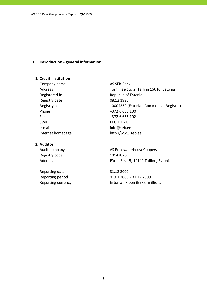# **I. Introduction ‐ general information**

# **1. Credit institution**

Company name AS SEB Pank Registry date 08.12.1995 Phone  $+3726655100$ Fax +372 6 655 102 SWIFT EEUHEE2X e-mail info@seb.ee Internet homepage http://www.seb.ee

# **2. Auditor**

Registry code 10142876

Reporting date 31.12.2009

Address Tornimäe Str. 2, Tallinn 15010, Estonia Registered in Republic of Estonia Registry code 10004252 (Estonian Commercial Register)

Audit company **AS PricewaterhouseCoopers** Address **Pärnu Str. 15, 10141 Tallinn, Estonia** 

Reporting period 01.01.2009 ‐ 31.12.2009 Reporting currency Estonian kroon (EEK), millions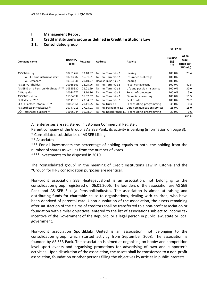# **II. Management Report**

# **1. Credit institution's group as defined in Credit Institutions Law**

# **1.1. Consolidated group**

| Company name                          | Registtry<br>code | Reg.date | <b>Address</b>        | Activity                                            | <b>Holding</b><br>(%)<br>*** | At an<br>acqui-<br>sition cost<br>(EEK mio) |
|---------------------------------------|-------------------|----------|-----------------------|-----------------------------------------------------|------------------------------|---------------------------------------------|
| AS SEB Liising                        | 10281767          | 03.10.97 | Tallinn, Tornimäe 2   | Leasing                                             | 100.0%                       | 23.4                                        |
| AS SEB Kindlustusmaakler*             | 10723587          | 16.01.01 | Tallinn, Tornimäe 2   | Insurance brokerage                                 | 100.0%                       | $\overline{\phantom{0}}$                    |
| AS Rentacar*                          | 10303546          | 20.10.97 | Haapsalu, Karja 27    | Leasing                                             | 100.0%                       |                                             |
| AS SEB Varahaldus                     | 10035169          | 22.05.96 | Tallinn, Tornimäe 2   | Asset management                                    | 100.0%                       | 42.5                                        |
| AS SEB Elu- ja Pensionikindlustus**** | 10525330          | 21.01.99 | Tallinn, Tornimäe 2   | Life and pension insurance                          | 100.0%                       | 30.0                                        |
| AS Bangalo                            | 10088272          | 18.10.96 | Tallinn, Tornimäe 2   | Rental of computers                                 | 100.0%                       | 5.0                                         |
| AS SEB Enskilda                       | 11354037          | 16.02.07 | Tallinn. Tornimäe 2   | Financial consulting                                | 100.0%                       | 11.5                                        |
| OÜ Estectus****                       | 10141919          | 23.04.97 | Tallinn, Tornimäe 2   | Real estate                                         | 100.0%                       | 26.2                                        |
| SEB IT Partner Estonia OÜ**           | 10002566          | 20.11.95 | Tallinn. Liimi 1B     | IT consulting, programming                          | 35.0%                        | 0.3                                         |
| AS Sertifits eerimiskes kus**         | 10747013          | 27.03.01 | Tallinn, Pärnu mnt 12 | Data communication services                         | 25.0%                        | 15.0                                        |
| OÜ TietoEnator Support **             | 11065244          | 30.08.04 |                       | Tallinn, Roosikrantsi 11 IT consulting, programming | 20.0%                        | 0.6                                         |
|                                       |                   |          |                       |                                                     |                              | 154.5                                       |

All enterprises are registered in Estonian Commercial Register.

Parent company of the Group is AS SEB Pank, its activity is banking (information on page 3).

\* Consolidated subsidiaries of AS SEB Liising

\*\* Associates

\*\*\* For all investments the percentage of holding equals to both, the holding from the number of shares as well as from the number of votes.

\*\*\*\* Investments to be disposed in 2010.

The "consolidated group" in the meaning of Credit Institutions Law in Estonia and the "Group" for IFRS consolidation purposes are identical.

Non‐profit association SEB Heategevusfond is an association, not belonging to the consolidation group, registered on 06.01.2006. The founders of the association are AS SEB Pank and AS SEB Elu- ja Pensionikindlustus. The association is aimed at raising and distributing funds for charitable cause to organisations, dealing with children, who have been deprived of parental care. Upon dissolution of the association, the assets remaining after satisfaction of the claims of creditors shall be transferred to a non‐profit association or foundation with similar objectives, entered to the list of associations subject to income tax incentive of the Government of the Republic, or a legal person in public law, state or local government.

Non‐profit association Spordiklubi United is an association, not belonging to the consolidation group, which started activitiy from September 2008. The association is founded by AS SEB Pank. The association is aimed at organising on hobby and competition level sport events and organising promotions for advertising of own and supporter´s activities. Upon dissolution of the association, the assets shall be transferred to a non‐profit association, foundation or other persons filling the objectives by articles in public interests.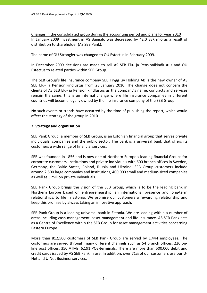Changes in the consolidated group during the accounting period and plans for year 2010 In January 2009 investment in AS Bangalo was decreased by 42.0 EEK mio as a result of distribution to shareholder (AS SEB Pank).

The name of OÜ Strongler was changed to OÜ Estectus in February 2009.

In December 2009 decisions are made to sell AS SEB Elu‐ ja Pensionikindlustus and OÜ Estectus to related parties within SEB Group.

The SEB Group's life insurance company SEB Trygg Liv Holding AB is the new owner of AS SEB Elu- ja Pensionikindlustus from 28 January 2010. The change does not concern the clients of AS SEB Elu‐ ja Pensionikindlustus as the company's name, contracts and services remain the same: this is an internal change where life insurance companies in different countries will become legally owned by the life insurance company of the SEB Group.

No such events or trends have occurred by the time of publishing the report, which would affect the strategy of the group in 2010.

# **2. Strategy and organisation**

SEB Pank Group, a member of SEB Group, is an Estonian financial group that serves private individuals, companies and the public sector. The bank is a universal bank that offers its customers a wide range of financial services.

SEB was founded in 1856 and is now one of Northern Europe's leading financial Groups for corporate customers, institutions and private individuals with 600 branch offices in Sweden, Germany, the Baltic States, Poland, Russia and Ukraine. SEB Group customers include around 2,500 large companies and institutions, 400,000 small and medium‐sized companies as well as 5 million private individuals.

SEB Pank Group brings the vision of the SEB Group, which is to be the leading bank in Northern Europe based on entrepreneurship, an international presence and long‐term relationships, to life in Estonia. We promise our customers a rewarding relationship and keep this promise by always taking an innovative approach.

SEB Pank Group is a leading universal bank in Estonia. We are leading within a number of areas including cash management, asset management and life insurance. AS SEB Pank acts as a Centre of Excellence within the SEB Group for asset management activities concerning Eastern Europe.

More than 812,500 customers of SEB Pank Group are served by 1,444 employees. The customers are served through many different channels such as 54 branch offices, 226 on‐ line post offices, 350 ATMs, 6,191 POS‐terminals. There are more than 500,000 debit and credit cards issued by AS SEB Pank in use. In addition, over 71% of our customers use our U‐ Net and U‐Net Business services.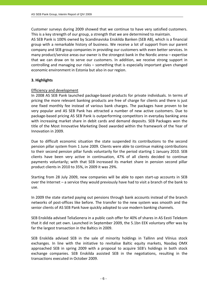Customer surveys during 2009 showed that we continue to have very satisfied customers. This is a key strength of our group, a strength that we are determined to maintain.

AS SEB Pank is 100% owned by Scandinaviska Enskilda Banken (SEB AB), which is a financial group with a remarkable history of business. We receive a lot of support from our parent company and SEB group companies in providing our customers with even better services. In many product/service areas our owner is the strongest bank in the Nordic arena – expertise that we can draw on to serve our customers. In addition, we receive strong support in controlling and managing our risks – something that is especially important given changed economic environment in Estonia but also in our region.

# **3. Highlights**

# Efficiency and development

In 2008 AS SEB Pank launched package‐based products for private individuals. In terms of pricing the more relevant banking products are free of charge for clients and there is just one fixed monthly fee instead of various bank charges. The packages have proven to be very popular and AS SEB Pank has attracted a number of new active customers. Due to package‐based pricing AS SEB Pank is outperforming competitors in everyday banking area with increasing market share in debit cards and demand deposits. SEB Packages won the title of the Most Innovative Marketing Deed awarded within the framework of the Year of Innovation in 2009.

Due to difficult economic situation the state suspended its contributions to the second pension pillar system from 1 June 2009. Clients were able to continue making contributions to their second pension pillar funds voluntarily for the period starting 1 January 2010. SEB clients have been very active in continuation, 47% of all clients decided to continue payments voluntarily; with that SEB increased its market share in pension second pillar product clients in 2010 to 35%, in 2009 it was 29%.

Starting from 28 July 2009, new companies will be able to open start‐up accounts in SEB over the Internet – a service they would previously have had to visit a branch of the bank to use.

In 2009 the state started paying out pensions through bank accounts instead of the branch networks of post‐offices like before. The transfer to the new system was smooth and the senior clients of AS SEB Pank have quickly adopted to use modern banking channels.

SEB Enskilda advised TeliaSonera in a public cash offer for 40% of shares in AS Eesti Telekom that it did not yet own. Launched in September 2009, the 5.1bn EEK voluntary offer was by far the largest transaction in the Baltics in 2009.

SEB Enskilda advised SEB in the sale of minority holdings in Tallinn and Vilnius stock exchanges. In line with the initiative to revitalise Baltic equity markets, Nasdaq OMX approached SEB in spring 2009 with a proposal to acquire SEB's holdings in both stock exchange companies. SEB Enskilda assisted SEB in the negotiations, resulting in the transactions executed in October 2009.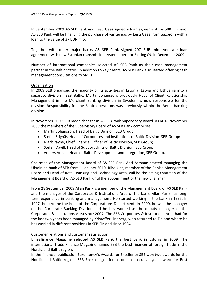In September 2009 AS SEB Pank and Eesti Gaas signed a loan agreement for 580 EEK mio. AS SEB Pank will be financing the purchase of winter gas by Eesti Gaas from Gazprom with a loan to the value of 37 EUR mio.

Together with other major banks AS SEB Pank signed 207 EUR mio syndicate loan agreement with new Estonian transmission system operator Elering OÜ in December 2009.

Number of international companies selected AS SEB Pank as their cash management partner in the Baltic States. In addition to key clients, AS SEB Pank also started offering cash management consultations to SMEs.

# Organisation

In 2009 SEB organised the majority of its activities in Estonia, Latvia and Lithuania into a separate division - SEB Baltic. Martin Johansson, previously Head of Client Relationship Management in the Merchant Banking division in Sweden, is now responsible for the division. Responsibility for the Baltic operations was previously within the Retail Banking division.

In November 2009 SEB made changes in AS SEB Pank Supervisory Board. As of 18 November 2009 the members of the Supervisory Board of AS SEB Pank comprises:

- Martin Johansson, Head of Baltic Division, SEB Group;
- Stefan Stignäs, Head of Corporates and Institutions of Baltic Division, SEB Group;
- Mark Payne, Chief Financial Officer of Baltic Division, SEB Group;
- Stefan Davill, Head of Support Units of Baltic Division, SEB Group;
- Anders Arozin, Head of Baltic Development and Integration, SEB Group.

Chairman of the Management Board of AS SEB Pank Ahti Asmann started managing the Ukrainian bank of SEB from 1 January 2010. Riho Unt, member of the Bank's Management Board and Head of Retail Banking and Technology Area, will be the acting chairman of the Management Board of AS SEB Pank until the appointment of the new chairman.

From 28 September 2009 Allan Parik is a member of the Management Board of AS SEB Pank and the manager of the Corporates & Institutions Area of the bank. Allan Parik has longterm experience in banking and management. He started working in the bank in 1995. In 1997, he became the head of the Corporations Department. In 2000, he was the manager of the Corporate Banking Division and he has worked as the deputy manager of the Corporates & Institutions Area since 2007. The SEB Corporates & Institutions Area had for the last two years been managed by Kristoffer Lindberg, who returned to Finland where he has worked in different positions in SEB Finland since 1994.

# Customer relations and customer satisfaction

Emeafinance Magazine selected AS SEB Pank the best bank in Estonia in 2009. The international Trade Finance Magazine named SEB the best financer of foreign trade in the Nordic and Baltic region.

In the financial publication Euromoney's Awards for Excellence SEB won two awards for the Nordic and Baltic region. SEB Enskilda got for second consecutive year award for Best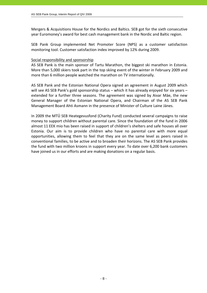Mergers & Acquisitions House for the Nordics and Baltics. SEB got for the sixth consecutive year Euromoney's award for best cash management bank in the Nordic and Baltic region.

SEB Pank Group implemented Net Promoter Score (NPS) as a customer satisfaction monitoring tool. Customer satisfaction index improved by 12% during 2009.

# Social responsibility and sponsorship

AS SEB Pank is the main sponsor of Tartu Marathon, the biggest ski marathon in Estonia. More than 5,000 skiers took part in the top skiing event of the winter in February 2009 and more than 6 million people watched the marathon on TV internationally.

AS SEB Pank and the Estonian National Opera signed an agreement in August 2009 which will see AS SEB Pank's gold sponsorship status – which it has already enjoyed for six years – extended for a further three seasons. The agreement was signed by Aivar Mäe, the new General Manager of the Estonian National Opera, and Chairman of the AS SEB Pank Management Board Ahti Asmann in the presence of Minister of Culture Laine Jänes.

In 2009 the MTÜ SEB Heategevusfond (Charity Fund) conducted several campaigns to raise money to support children without parental care. Since the foundation of the fund in 2006 almost 11 EEK mio has been raised in support of children's shelters and safe houses all over Estonia. Our aim is to provide children who have no parental care with more equal opportunities, allowing them to feel that they are on the same level as peers raised in conventional families, to be active and to broaden their horizons. The AS SEB Pank provides the fund with two million kroons in support every year. To date over 6,200 bank customers have joined us in our efforts and are making donations on a regular basis.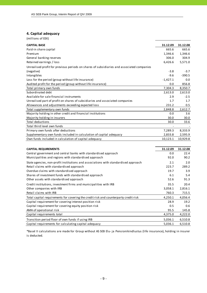# **4. Capital adequacy**

(millions of EEK)

| <b>CAPITAL BASE</b>                                                                       | 31.12.09   | 31.12.08 |
|-------------------------------------------------------------------------------------------|------------|----------|
| Paid-in share capital                                                                     | 665.6      | 665.6    |
| Premium                                                                                   | 1,346.6    | 1,346.6  |
| General banking reserves                                                                  | 306.0      | 304.9    |
| Retained earnings / loss                                                                  | 6,426.6    | 5,571.0  |
| Unrealised profit for previous periods on shares of subsidiaries and associated companies |            |          |
| (negative)                                                                                | $-3.8$     | $-3.7$   |
| Intangibles                                                                               | $-9.6$     | $-390.5$ |
| Loss for the period (group without life insurance)                                        | $-1,427.1$ | 0.0      |
| Audited profit for the period (group without life insurance)                              | 0.0        | 856.8    |
| Total primary own funds                                                                   | 7,304.3    | 8,350.7  |
| Subordinated debt                                                                         | 2,613.0    | 2,613.0  |
| Available for sale financial instruments                                                  | 2.9        | $-2.5$   |
| Unrealised part of profit on shares of subsidiaries and associated companies              | 1.7        | 1.7      |
| Allowances and adjustments exceeding expected loss                                        | 231.2      | 0.5      |
| Total supplementary own funds                                                             | 2,848.8    | 2,612.7  |
| Majority holding in other credit and financial institutions                               | 0.0        | 3.6      |
| Majority holding in insurers                                                              | 30.0       | 30.0     |
| <b>Total deductions</b>                                                                   | 30.0       | 33.6     |
| Total third level own funds                                                               |            |          |
| Primary own funds after deductions                                                        | 7,289.3    | 8,333.9  |
| Supplementary own funds included in calculation of capital adequacy                       | 2,833.8    | 2,595.9  |
| Own funds included in calculation of capital adequacy                                     | 10,123.1   | 10,929.8 |
|                                                                                           |            |          |
| <b>CAPITAL REQUIREMENTS</b>                                                               | 31.12.09   | 31.12.08 |
| Central government and central banks with standardised approach                           | 0.0        | 22.4     |
| Municipalities and regions with standardised approach                                     | 92.0       | 90.2     |
| State agencies, non-profit institutions and associations with standardised approach       | 2.1        | 2.0      |
| Retail claims with standardised approach                                                  | 223.7      | 289.2    |
| Overdue claims with standardised approach                                                 | 19.7       | 3.9      |
| Shares of investment funds with standardised approach                                     | 6.1        | 5.4      |
| Other assets with standardised approach                                                   | 52.6       | 91.3     |
| Credit institutions, investment firms and municipalities with IRB                         | 35.5       | 20.4     |
| Other companies with IRB                                                                  | 3,058.1    | 2,816.1  |
| Retail claims with IRB                                                                    | 760.3      | 715.5    |
| Total capital requirements for covering the credit risk and counterparty credit risk      | 4,250.1    | 4,056.4  |
| Capital requirement for covering interest position risk                                   | 28.9       | 19.2     |
| Capital requirement for covering equity position risk                                     | 0.5        | 0.6      |
| AMA of operational risk                                                                   | 95.5       | 145.8    |
| Capital requirements total                                                                | 4,375.0    | 4,222.0  |
| Transition period floor of own funds if using IRB                                         | 5,036.1    | 6,510.8  |
| Capital requirements for calculating capital adequacy                                     | 5,036.1    | 6,510.8  |

\*Basel II calculations are made for Group without AS SEB Elu‐ ja Pensionikindlustus (li fe insurance), holding in insurer is deducted.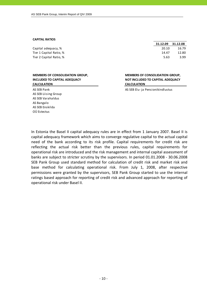#### **CAPITAL RATIOS**

|                         | ------- | -------- |
|-------------------------|---------|----------|
| Capital adequacy, %     | 20.10   | 16.79    |
| Tier 1 Capital Ratio, % | 14.47   | 12.80    |
| Tier 2 Capital Ratio, % | 5.63    | 3.99     |
|                         |         |          |

### **MEMBERS OF CONSOLIDATION GROUP, INCLUDED TO CAPITAL ADEQUACY CALCULATION**

# AS SEB Liising Group AS SEB Varahaldus AS Bangalo AS SEB Enskilda OÜ Estectus

**MEMBERS OF CONSOLIDATION GROUP, NOT INCLUDED TO CAPITAL ADEQUACY CALCULATION**

**31.12.09 31.12.08**

AS SEB Pank AS SEB Pank AS SEB Elu-ja Pensionikindlustus

In Estonia the Basel II capital adequacy rules are in effect from 1 January 2007. Basel II is capital adequacy framework which aims to converge regulative capital to the actual capital need of the bank according to its risk profile. Capital requirements for credit risk are reflecting the actual risk better than the previous rules, capital requirements for operational risk are introduced and the risk management and internal capital assessment of banks are subject to stricter scrutiny by the supervisors. In period 01.01.2008 ‐ 30.06.2008 SEB Pank Group used standard method for calculation of credit risk and market risk and base method for calculating operational risk. From July 1, 2008, after respective permissions were granted by the supervisors, SEB Pank Group started to use the internal ratings based approach for reporting of credit risk and advanced approach for reporting of operational risk under Basel II.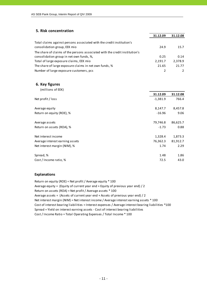# **5. Risk concentration**

|                                                                                                       | 31.12.09 | 31.12.08 |
|-------------------------------------------------------------------------------------------------------|----------|----------|
| Total claims against persons associated with the credit institution's<br>consolidation group, EEK mio | 24.9     | 15.7     |
| The share of claims of the persons associated with the credit institution's                           |          |          |
| consolidation group in net own funds, %,                                                              | 0.25     | 0.14     |
| Total of large exposure claims, EEK mio                                                               | 2,191.7  | 2.378.9  |
| The share of large exposure claims in net own funds, %                                                | 21.65    | 21.77    |
| Number of large exposure customers, pcs                                                               |          |          |

### **6. Key figures**

|                                 | 31.12.09   | 31.12.08 |
|---------------------------------|------------|----------|
| Net profit / loss               | $-1,381.9$ | 766.4    |
| Average equity                  | 8,147.7    | 8,457.8  |
| Return on equity (ROE), %       | $-16.96$   | 9.06     |
| Average assets                  | 79,746.8   | 86,625.7 |
| Return on assets (ROA), %       | $-1.73$    | 0.88     |
| Net interest income             | 1,328.4    | 1,873.3  |
| Average interest earning assets | 76,362.3   | 81,912.7 |
| Net interest margin (NIM), %    | 1.74       | 2.29     |
| Spread, %                       | 1.48       | 1.86     |
| Cost / Income ratio, %          | 72.5       | 43.0     |

### **Explanations**

Return on equity (ROE) = Net profit / Average equity \* 100 Average equity = (Equity of current year end + Equity of previous year end) / 2 Return on assets (ROA) = Net profit / Average assets \* 100 Average assets = (Assets of current year end + Assets of previous year end) / 2 Cost of interest bearing liabilities = Interest expenses / Average interest bearing liabilities \*100 Cost / Income Ratio = Total Operating Expenses / Total Income \* 100 Spread = Yield on interest earning assets ‐ Cost of interest bearing liabilities Net interest margin (NIM) = Net interest income / Average interest earning assets \* 100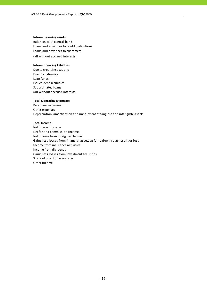### **Interest earning assets:**

Balances with central bank Loans and advances to credit institutions (all without accrued interests) Loans and advances to customers

### **Interest bearing liabilities:**

Due to credit institutions Due to customers Loan funds Issued debt securities Subordinated loans (all without accrued interests)

### **Total Operating Expenses:**

Personnel expenses Other expenses Depreciation, amortisation and impairment of tangible and intangible assets

### **Total Income:**

Net interest income Net fee and commission income Net income from foreign exchange Gains less losses from financial assets at fair value through profit or loss Income from insurance activities Income from dividends Gains less losses from investment securities Share of profit of associates Other income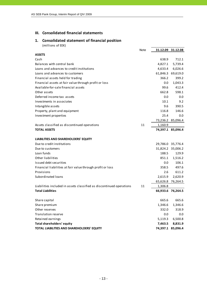# **III. Consolidated financial statements**

# **1. Consolidated statement of financial position** (millions of EEK)

|                                                                      | Note |         | 31.12.09 31.12.08 |
|----------------------------------------------------------------------|------|---------|-------------------|
| <b>ASSETS</b>                                                        |      |         |                   |
| Cash                                                                 |      | 638.9   | 712.1             |
| Balances with central bank                                           |      | 4,827.1 | 5,739.4           |
| Loans and advances to credit institutions                            |      | 4,633.4 | 6,026.6           |
| Loans and advances to customers                                      |      |         | 61,846.3 69,619.0 |
| Financial assets held for trading                                    |      | 366.2   | 399.2             |
| Financial assets at fair value through profit or loss                |      | 0.0     | 1,043.3           |
| Available-for-sale financial assets                                  |      | 99.6    | 412.4             |
| Other assets                                                         |      | 662.8   | 598.1             |
| Deferred income tax assets                                           |      | 0.0     | 0.0               |
| Investments in associates                                            |      | 10.1    | 9.2               |
| Intangible assets                                                    |      | 9.6     | 390.5             |
| Property, plant and equipment                                        |      | 116.8   | 146.6             |
| Investment properties                                                |      | 25.4    | 0.0               |
|                                                                      |      |         | 73,236.2 85,096.4 |
| Assets classified as discontinued operations                         | 11   | 1,160.9 |                   |
| <b>TOTAL ASSETS</b>                                                  |      |         | 74,397.1 85,096.4 |
| LIABILITIES AND SHAREHOLDERS' EQUITY                                 |      |         |                   |
| Due to credit institutions                                           |      |         | 29,786.0 35,776.4 |
| Due to customers                                                     |      |         | 31,824.2 35,006.2 |
| Loan funds                                                           |      | 188.5   | 129.9             |
| Other liabilities                                                    |      | 851.1   | 1,516.2           |
| Issued debt securities                                               |      | $0.0\,$ | 106.1             |
| Financial liabilities at fair value through profit or loss           |      | 358.5   | 497.6             |
| Provisions                                                           |      | 2.6     | 611.2             |
| Subordinated loans                                                   |      | 2,615.9 | 2,620.9           |
|                                                                      |      |         | 65,626.8 76,264.5 |
| Liabilities included in assets classified as discontinued operations | 11   | 1,306.8 |                   |
| <b>Total Liabilities</b>                                             |      |         | 66,933.6 76,264.5 |
| Share capital                                                        |      | 665.6   | 665.6             |
| Share premium                                                        |      | 1,346.6 | 1,346.6           |
| Other reserves                                                       |      | 332.0   | 318.9             |
| Translation reserve                                                  |      | 0.0     | 0.0               |
| Retained earnings                                                    |      | 5,119.3 | 6,500.8           |
| <b>Total shareholders' equity</b>                                    |      | 7,463.5 | 8,831.9           |
| TOTAL LIABILITIES AND SHAREHOLDERS' EQUITY                           |      |         | 74,397.1 85,096.4 |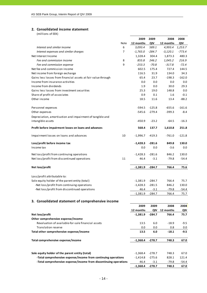# **2. Consolidated income statement**

(millions of EEK)

|                                                                   |      | 2009       | 2009     | 2008       | 2008     |
|-------------------------------------------------------------------|------|------------|----------|------------|----------|
|                                                                   | Note | 12 months  | QIV      | 12 months  | QIV      |
| Interest and similar income                                       | 6    | 3,093.4    | 589.1    | 4,993.4    | 1,253.7  |
| Interest expenses and similar charges                             | 7    | $-1,765.0$ | $-284.7$ | $-3,120.1$ | $-773.4$ |
| Net Interest Income                                               |      | 1,328.4    | 304.4    | 1,873.3    | 480.3    |
| Fee and commission income                                         | 8    | 855.8      | 246.2    | 1,045.2    | 216.9    |
| Fee and commission expense                                        | 9    | $-253.3$   | $-70.8$  | $-317.8$   | $-72.4$  |
| Net fee and commission income                                     |      | 602.5      | 175.4    | 727.4      | 144.5    |
| Net income from foreign exchange                                  |      | 116.5      | 31.9     | 134.0      | 34.3     |
| Gains less losses from financial assets at fair value through     |      | 65.4       | 23.7     | $-198.3$   | $-162.0$ |
| Income from insurance activities                                  |      | 0.0        | 0.0      | 0.0        | 0.0      |
| Income from dividends                                             |      | 1.9        | 0.0      | 30.0       | 29.3     |
| Gains less losses from investment securities                      |      | 25.3       | 19.0     | 148.8      | 0.0      |
| Share of profit of associates                                     |      | 0.9        | 0.1      | 1.6        | $-0.1$   |
| Other income                                                      |      | 18.5       | 11.6     | 13.4       | $-88.2$  |
| Personnel expenses                                                |      | $-594.5$   | $-125.8$ | $-655.6$   | $-161.6$ |
| Other expenses                                                    |      | $-545.6$   | $-279.4$ | $-399.3$   | $-8.4$   |
| Depreciation, amortisation and impairment of tangible and         |      |            |          |            |          |
| intangible assets                                                 |      | $-450.9$   | $-23.2$  | $-64.5$    | $-16.3$  |
| Profit before impairment losses on loans and advances             |      | 568.4      | 137.7    | 1,610.8    | 251.8    |
| Impairment losses on loans and advances                           | 10   | $-1,996.7$ | $-419.3$ | $-761.0$   | $-121.8$ |
| Loss/profit before income tax                                     |      | $-1,428.3$ | $-281.6$ | 849.8      | 130.0    |
| Income tax                                                        |      | 0.0        | 0.0      | $-3.6$     | 0.0      |
|                                                                   |      |            |          |            |          |
| Net loss/profit from continuing operations                        |      | $-1,428.3$ | $-281.6$ | 846.2      | 130.0    |
| Net loss/profit from discontinued operations                      | 11   | 46.4       | $-3.1$   | $-79.8$    | $-54.4$  |
| Net loss/profit                                                   |      | $-1,381.9$ | -284.7   | 766.4      | 75.6     |
| Loss/profit attributable to:                                      |      |            |          |            |          |
| Sole equity holder of the parent entity (total)                   |      | $-1,381.9$ | $-284.7$ | 766.4      | 75.7     |
| -Net loss/profit from continuing operations                       |      | $-1,428.3$ | $-281.5$ | 846.2      | 130.0    |
| -Net loss/profit from discontinued operations                     |      | 46.4       | $-3.1$   | $-79.8$    | $-54.4$  |
|                                                                   |      | $-1,381.9$ | $-284.7$ | 766.4      | 75.7     |
| 3. Consolidated statement of comprehensive income                 |      |            |          |            |          |
|                                                                   |      | 2009       | 2009     | 2008       | 2008     |
|                                                                   |      | 12 months  | QIV      | 12 months  | QIV      |
| Net loss/profit                                                   |      | $-1,381.9$ | $-284.7$ | 766.4      | 75.7     |
| Other comprehensive expense/income                                |      |            |          |            |          |
| Revaluation of available-for-sale financial assets                |      | 13.5       | 6.0      | $-18.9$    | $-9.5$   |
| <b>Translation reserve</b>                                        |      | 0.0        | 0.0      | 0.8        | 0.0      |
| Total other comprehensive expense/income                          |      | 13.5       | 6.0      | $-18.1$    | $-9.5$   |
| Total comprehensive expense/income                                |      | $-1,368.4$ | $-278.7$ | 748.3      | 67.0     |
|                                                                   |      |            |          |            |          |
| Sole equity holder of the parent entity (total)                   |      | $-1,368.4$ | $-278.7$ | 748.3      | 67.0     |
| -Total comprehensive expense/income from continuing operations    |      | $-1,414.8$ | $-275.6$ | 828.1      | 121.4    |
| -Total comprehensive expense/income from discontinuing operations |      | 46.4       | $-3.1$   | $-79.8$    | -54.4    |
|                                                                   |      | $-1,368.4$ | $-278.7$ | 748.3      | 67.0     |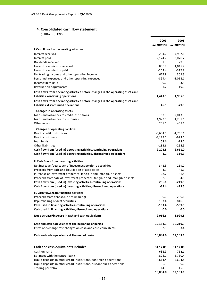# **4. Consolidated cash flow statement**

(millions of EEK)

|                                                                                                                        | 2009              | 2008                 |
|------------------------------------------------------------------------------------------------------------------------|-------------------|----------------------|
|                                                                                                                        | 12 months         | 12 months            |
| I. Cash flows from operating activities                                                                                |                   |                      |
| Interest received                                                                                                      | 3,234.7           | 4,987.1              |
| Interest paid                                                                                                          | $-2,124.7$        | $-3,070.2$           |
| Dividends received                                                                                                     | 1.9               | 29.9                 |
| Fee and commission received                                                                                            | 855.8             | 1,045.2              |
| Fee and commission paid                                                                                                | $-253.4$          | $-317.8$             |
| Net trading income and other operating income                                                                          | 627.8             | 302.3                |
| Personnel expenses and other operating expenses<br>Income taxes paid                                                   | -899.4<br>$0.0\,$ | $-1,018.1$<br>$-3.5$ |
| Revaluation adjustments                                                                                                | 1.2               | $-19.0$              |
|                                                                                                                        |                   |                      |
| Cash flows from operating activities before changes in the operating assets and<br>liabilities, continuing operations  | 1,443.9           | 1,935.9              |
| Cash flows from operating activities before changes in the operating assets and                                        |                   |                      |
| liabilities, discontinued operations                                                                                   | 46.9              | -79.3                |
| Changes in operating assets:                                                                                           |                   |                      |
| Loans and advances to credit institutions                                                                              | 67.8              | 2,013.5              |
| Loans and advances to customers                                                                                        | 4,973.5           | 1,231.6              |
| Other assets                                                                                                           | 201.1             | 468.1                |
| <b>Changes of operating liabilities:</b>                                                                               |                   |                      |
| Due to credit institutions                                                                                             | $-5,684.0$        | $-1,766.1$           |
| Due to customers                                                                                                       | $-3,129.7$        | $-923.6$             |
| Loan funds                                                                                                             | 58.6              | $-14.2$              |
| Other liabilities                                                                                                      | $-183.6$          | $-254.9$             |
| Cash flow from (used in) operating activities, continuing operations                                                   | $-2,205.5$        | 2,611.0              |
| Cash flow from (used in) operating activities, discontinued operations                                                 | 1.1               | $-319.9$             |
| II. Cash flows from investing activities                                                                               |                   |                      |
| Net increase-/decrease+ of investment portfolio securities                                                             | 348.3             | $-219.0$             |
| Proceeds from sale and liquidation of associates                                                                       | 4.9               | 46.1                 |
| Purchase of investment properties, tangible and intangible assets                                                      | $-68.7$           | $-51.8$              |
| Proceeds from sale of investment properties, tangible and intangible assets                                            | 2.1               | 4.8                  |
| Cash flow from (used in) investing activities, continuing operations                                                   | 286.6             | $-219.9$             |
| Cash flow from (used in) investing activities, discontinued operations                                                 | $-35.4$           | 418.5                |
| III. Cash flows from financing activities                                                                              |                   |                      |
| Proceeds from debt securities (issuing)                                                                                | 0.0               | 250.1                |
| Repurchasing of debt securities                                                                                        | $-103.4$          | $-810.0$             |
| Cash used in financing activities, continuing operations<br>Cash used in financing activities, discontinued operations | $-103.4$<br>0.0   | $-559.9$<br>0.0      |
|                                                                                                                        |                   |                      |
| Net decrease/increase in cash and cash equivalents                                                                     | $-2,056.6$        | 1,929.8              |
| Cash and cash equivalents at the beginning of period                                                                   | 12,153.1          | 10,219.9             |
| Effect of exchange rate changes on cash and cash equivalents                                                           | $-2.5$            | 3.4                  |
| Cash and cash equivalents at the end of period                                                                         | 10,094.0          | 12,153.1             |
|                                                                                                                        |                   |                      |
| Cash and cash equivalents includes:                                                                                    | 31.12.09          | 31.12.08             |
| Cash on hand                                                                                                           | 638.9             | 712.1                |
| Balances with the central bank                                                                                         | 4,826.1           | 5,730.4              |
| Liquid deposits in other credit institutions, continuing operations                                                    | 4,614.4           | 5,694.8              |
| Liquid deposits in other credit institutions, discontinued operations                                                  | 0.1               | $0.0\,$              |
| Trading portfolio                                                                                                      | 14.5<br>10,094.0  | 15.8                 |
|                                                                                                                        |                   | 12,153.1             |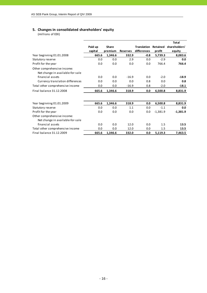# **5. Changes in consolidated shareholders' equity**

(millions of EEK)

|                                  |         |         |                 |                    |            | <b>Total</b>  |
|----------------------------------|---------|---------|-----------------|--------------------|------------|---------------|
|                                  | Paid up | Share   |                 | <b>Translation</b> | Retained   | shareholders' |
|                                  | capital | premium | <b>Reserves</b> | differences        | profit     | equity        |
| Year beginning 01.01.2008        | 665.6   | 1,346.6 | 332.9           | $-0.8$             | 5,739.3    | 8,083.6       |
| Statutory reserve                | 0.0     | 0.0     | 2.9             | 0.0                | $-2.9$     | 0.0           |
| Profit for the year              | 0.0     | 0.0     | 0.0             | 0.0                | 766.4      | 766.4         |
| Other comprehensive income:      |         |         |                 |                    |            |               |
| Net change in available-for-sale |         |         |                 |                    |            |               |
| financial assets                 | 0.0     | 0.0     | $-16.9$         | 0.0                | $-2.0$     | $-18.9$       |
| Currency translation differences | 0.0     | 0.0     | 0.0             | 0.8                | 0.0        | 0.8           |
| Total other comprehensive income | 0.0     | 0.0     | $-16.9$         | 0.8                | $-2.0$     | $-18.1$       |
| Final balance 31.12.2008         | 665.6   | 1,346.6 | 318.9           | 0.0                | 6,500.8    | 8,831.9       |
|                                  |         |         |                 |                    |            |               |
| Year beginning 01.01.2009        | 665.6   | 1,346.6 | 318.9           | 0.0                | 6,500.8    | 8,831.9       |
| Statutory reserve                | 0.0     | 0.0     | 1.1             | 0.0                | $-1.1$     | 0.0           |
| Profit for the year              | 0.0     | 0.0     | 0.0             | 0.0                | $-1,381.9$ | $-1,381.9$    |
| Other comprehensive income:      |         |         |                 |                    |            |               |
| Net change in available-for-sale |         |         |                 |                    |            |               |
| financial assets                 | 0.0     | 0.0     | 12.0            | 0.0                | 1.5        | 13.5          |
| Total other comprehensive income | 0.0     | 0.0     | 12.0            | 0.0                | 1.5        | 13.5          |
| Final balance 31.12.2009         | 665.6   | 1,346.6 | 332.0           | 0.0                | 5,119.3    | 7,463.5       |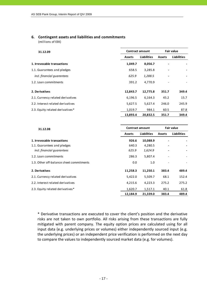# **6. Contingent assets and liabilities and commitments**

(millions of EEK)

| 31.12.09                          |               | <b>Contract amount</b> | <b>Fair value</b> |                    |  |
|-----------------------------------|---------------|------------------------|-------------------|--------------------|--|
|                                   | <b>Assets</b> | <b>Liabilities</b>     | <b>Assets</b>     | <b>Liabilities</b> |  |
| 1. Irrevocable transactions       | 1,049.7       | 8,056.7                |                   |                    |  |
| 1.1. Guarantees and pledges       | 658.5         | 3,285.8                |                   |                    |  |
| incl. financial quarantees        | 625.9         | 1,288.5                |                   |                    |  |
| 1.2. Loan commitments             | 391.2         | 4,770.9                |                   |                    |  |
| 2. Derivatives                    | 12,843.7      | 12,775.8               | 351.7             | 349.4              |  |
| 2.1. Currency related derivatives | 6,196.5       | 6,164.3                | 45.2              | 15.7               |  |
| 2.2. Interest related derivatives | 5,627.5       | 5,627.4                | 246.0             | 245.9              |  |
| 2.3. Equity related derivatives*  | 1,019.7       | 984.1                  | 60.5              | 87.8               |  |
|                                   | 13,893.4      | 20,832.5               | 351.7             | 349.4              |  |

| 31.12.08                                 |               | <b>Contract amount</b> | <b>Fair value</b>        |                    |
|------------------------------------------|---------------|------------------------|--------------------------|--------------------|
|                                          | <b>Assets</b> | <b>Liabilities</b>     | <b>Assets</b>            | <b>Liabilities</b> |
| 1. Irrevocable transactions              | 926.6         | 10,088.9               |                          |                    |
| 1.1. Guarantees and pledges              | 640.3         | 4,280.5                |                          |                    |
| incl. financial quarantees               | 625.9         | 1,624.9                |                          |                    |
| 1.2. Loan commitments                    | 286.3         | 5,807.4                |                          |                    |
| 1.3. Other off-balance sheet commitments | 0.0           | 1.0                    | $\overline{\phantom{0}}$ |                    |
| 2. Derivatives                           | 11,258.3      | 11,250.1               | 383.4                    | 489.4              |
| 2.1. Currency related derivatives        | 5,422.0       | 5,509.7                | 68.1                     | 152.4              |
| 2.2. Interest related derivatives        | 4,215.6       | 4,223.3                | 275.2                    | 275.2              |
| 2.3. Equity related derivatives*         | 1,620.7       | 1,517.1                | 40.1                     | 61.8               |
|                                          | 12,184.9      | 21,339.0               | 383.4                    | 489.4              |

\* Derivative transactions are executed to cover the client's position and the derivative risks are not taken to own portfolio. All risks arising from these transactions are fully mitigated with parent company. The equity option prices are calculated using for all input data (e.g. underlying prices or volumes) either independently sourced input (e.g. the underlying prices) or an independent price verification is performed on the next day to compare the values to independently sourced market data (e.g. for volumes).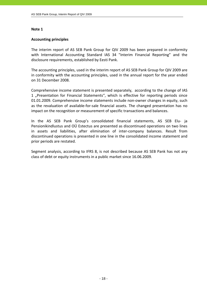# **Accounting principles**

The interim report of AS SEB Pank Group for QIV 2009 has been prepared in conformity with International Accounting Standard IAS 34 "Interim Financial Reporting" and the disclosure requirements, established by Eesti Pank.

The accounting principles, used in the interim report of AS SEB Pank Group for QIV 2009 are in conformity with the accounting principles, used in the annual report for the year ended on 31 December 2008.

Comprehensive income statement is presented separately, according to the change of IAS 1 "Presentation for Financial Statements", which is effective for reporting periods since 01.01.2009. Comprehensive income statements include non‐owner changes in equity, such as the revaluation of available‐for‐sale financial assets. The changed presentation has no impact on the recognition or measurement of specific transactions and balances.

In the AS SEB Pank Group's consolidated financial statements, AS SEB Elu‐ ja Pensionikindlustus and OÜ Estectus are presented as discontinued operations on two lines in assets and liabilities, after elimination of inter‐company balances. Result from discontinued operations is presented in one line in the consolidated income statement and prior periods are restated.

Segment analysis, according to IFRS 8, is not described because AS SEB Pank has not any class of debt or equity instruments in a public market since 16.06.2009.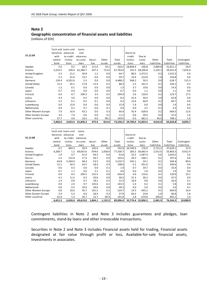# **Note 2 Geographic concentration of financial assets and liabilities**

0.0 54.8 2.3 1,060.0 1,060.0 1,060.0 1,060.0 1,060.0 1,060.0 1,060.0 1,060.0 1,060.0 1,060.0 1,060.0 1,060.0 1

(millions of EEK)

| 31.12.09             | with    | Cash and Loans and<br>balances advances<br>to credit | Loans<br>and<br>advances |         |        |          | Due to to<br>credit | Due to   |             |             |             |
|----------------------|---------|------------------------------------------------------|--------------------------|---------|--------|----------|---------------------|----------|-------------|-------------|-------------|
|                      | central | institu-                                             | to custo-                | Securi- | Other  | Total    | institu-            | custo-   | Other       | Total       | Contingent  |
|                      | bank    | tions                                                | mers                     | ti es   | assets | assets   | tions               | mers     | liabilities | liabilities | liabilities |
| Sweden               | 5.6     | 9.2                                                  | 28.3                     | 111.0   | 10.1   | 164.2    | 28,849.4            | 100.8    | 2,860.9     | 31,811.1    | 26.9        |
| Estonia              | 5,233.5 | 109.4                                                | 61,380.7                 | 347.3   | 713.0  | 67,783.9 | 191.5               | 28,206.8 | 1,103.1     | 29,501.4    | 7,876.0     |
| United Kingdom       | 2.5     | 21.2                                                 | 39.8                     | 1.2     | 0.0    | 64.7     | 80.5                | 1,472.5  | 0.3         | 1,553.3     | 5.6         |
| Russia               | 5.2     | 41.0                                                 | 13.5                     | 0.0     | 0.0    | 59.7     | 10.4                | 214.8    | 1.6         | 226.8       | 0.0         |
| Germany              | 130.4   | 4,352.6                                              | 5.2                      | 0.0     | 0.0    | 4,488.2  | 568.2               | 50.5     | 0.0         | 618.7       | 115.3       |
| United States        | 12.3    | 45.1                                                 | 17.8                     | 12.9    | 0.2    | 88.3     | 2.5                 | 241.5    | 0.1         | 244.1       | 0.2         |
| Canada               | 1.2     | 0.1                                                  | 0.0                      | 0.0     | 0.0    | 1.3      | 3.7                 | 10.6     | 0.0         | 14.3        | 0.0         |
| Japan                | 0.7     | 0.0                                                  | 0.0                      | 0.0     | 0.0    | 0.7      | 0.0                 | 1.1      | 0.0         | 1.1         | 0.0         |
| Finland              | 0.0     | 0.7                                                  | 290.3                    | 3.4     | 0.5    | 294.9    | 2.6                 | 120.9    | 0.2         | 123.7       | 17.5        |
| Latvia               | 4.4     | 3.6                                                  | 0.2                      | 0.0     | 0.0    | 8.2      | 25.4                | 34.4     | 3.0         | 62.8        | 0.0         |
| Lithuania            | 2.5     | 6.1                                                  | 0.5                      | 0.1     | 0.0    | 9.2      | 13.6                | 46.9     | 0.2         | 60.7        | 0.0         |
| Luxembourg           | 0.0     | 15.9                                                 | 0.0                      | 0.0     | 0.0    | 15.9     | 1.9                 | 0.0      | 0.0         | 1.9         | 0.0         |
| Netherlands          | 0.0     | 0.1                                                  | 9.7                      | 0.0     | 0.1    | 9.9      | 0.0                 | 3.2      | 0.1         | 3.3         | 0.0         |
| Other Western Europe | 7.0     | 16.4                                                 | 43.2                     | 0.0     | 0.3    | 66.9     | 35.4                | 628.9    | 0.2         | 664.5       | 12.6        |
| Other Eastern Europe | 3.0     | 7.4                                                  | 0.6                      | 0.0     | 0.2    | 11.2     | 0.6                 | 30.0     | 0.4         | 31.0        | 1.6         |
| Other countries      | 57.7    | 4.6                                                  | 16.5                     | 0.0     | 90.2   | 169.0    | 0.3                 | 661.3    | 46.5        | 708.1       | 1.0         |
|                      | 5,466.0 | 4,633.4                                              | 61,846.3                 | 475.9   | 814.6  | 73,236.2 | 29,786.0            | 31,824.2 | 4,016.6     | 65,626.8    | 8,056.7     |

|                      |         | Cash and Loans and | Loans     |         |         |          |           |                   |             |             |             |
|----------------------|---------|--------------------|-----------|---------|---------|----------|-----------|-------------------|-------------|-------------|-------------|
|                      |         | balances advances  | and       |         |         |          | Due to to |                   |             |             |             |
| 31.12.08             | with    | to credit          | advances  |         |         |          | credit    | Due to            |             |             |             |
|                      | central | institu-           | to custo- | Securi- | Other   | Total    | institu-  | custo-            | Other       | Total       | Contingent  |
|                      | bank    | tions              | mers      | ti es   | assets  | assets   | tions     | mers              | liabilities | liabilities | liabilities |
| Sweden               | 6.1     | 469.3              | 34.9      | 192.6   | 0.0     | 702.9    | 34,740.9  | 176.0             | 2,712.2     | 37,629.1    | 37.0        |
| Estonia              | 6,280.7 | 1.2                | 69,055.6  | 934.6   | 1,058.6 | 77,330.7 | 285.5     | 30,965.4          | 2,552.6     | 33,803.5    | 9,912.4     |
| United Kingdom       | 1.9     | 4.7                | 41.9      | 44.3    | 0.0     | 92.8     | 32.2      | 1,587.4           | 0.6         | 1,620.2     | 5.6         |
| Russia               | 2.5     | 122.8              | 17.5      | 50.7    | 0.0     | 193.5    | 29.3      | 268.1             | 0.2         | 297.6       | 0.0         |
| Germany              | 64.8    | 5,344.0            | 48.4      | 53.5    | 0.0     | 5,510.7  | 542.1     | 24.1              | 0.2         | 566.4       | 89.6        |
| <b>United States</b> | 15.1    | 50.3               | 24.5      | 18.4    | 0.3     | 108.6    | 5.5       | 431.0             | 0.1         | 436.6       | 0.4         |
| Canada               | 0.6     | 0.3                | 0.0       | 0.0     | 0.1     | 1.0      | 0.7       | 34.7              | 0.0         | 35.4        | 0.0         |
| Japan                | 0.7     | 1.7                | 0.0       | 2.1     | 0.1     | 4.6      | 0.0       | 1.9               | 0.0         | 1.9         | 0.0         |
| Finland              | 0.0     | 0.5                | 294.5     | 131.4   | 0.0     | 426.4    | 4.0       | 116.6             | 0.3         | 120.9       | 23.1        |
| Latvia               | 4.1     | 11.5               | 0.3       | 20.6    | 0.0     | 36.5     | 31.3      | 36.2              | 0.0         | 67.5        | 0.0         |
| Lithuania            | 2.4     | 0.8                | 0.7       | 18.2    | 0.2     | 22.3     | 16.0      | 9.8               | 0.8         | 26.6        | 0.1         |
| Luxembourg           | 0.0     | 2.0                | 9.7       | 145.6   | 6.2     | 163.5    | 2.4       | 0.2               | 3.2         | 5.8         | 0.0         |
| Netherlands          | 0.0     | 0.3                | 10.0      | 39.0    | 0.0     | 49.3     | 0.0       | 5.0               | 0.0         | 5.0         | 0.1         |
| Other Western Europe | 6.8     | 10.6               | 45.7      | 161.5   | 0.1     | 224.7    | 23.5      | 645.2             | 0.3         | 669.0       | 16.4        |
| Other Eastern Europe | 2.9     | 5.3                | 0.6       | 28.9    | 0.2     | 37.9     | 60.2      | 24.8              | 1.8         | 86.8        | 1.8         |
| Other countries      | 62.9    | 1.3                | 34.7      | 22.7    | 69.4    | 191.0    | 2.8       | 679.8             | 209.6       | 892.2       | 2.4         |
|                      | 6,451.5 | 6,026.6            | 69,619.0  | 1,864.1 | 1,135.2 | 85,096.4 |           | 35,776.4 35,006.2 | 5,481.9     | 76,264.5    | 10,088.9    |

Contingent liabilities in Note 2 and Note 3 includes guarantees and pledges, loan commitments, stand‐by loans and other irrevocable transactions.

Securities in Note 2 and Note 3 includes Financial assets held for trading, Financial assets designated at fair value through profit or loss, Available‐for‐sale financial assets, Investments in associates.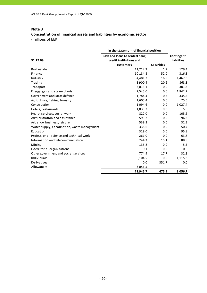|                                              | In the statement of financial position |                   |                    |
|----------------------------------------------|----------------------------------------|-------------------|--------------------|
|                                              | Cash and loans to central bank,        |                   | Contingent         |
| 31.12.09                                     | credit institutions and                |                   | <b>liabilities</b> |
|                                              | customers                              | <b>Securities</b> |                    |
| Real estate                                  | 11,212.3                               | 1.2               | 129.4              |
| Finance                                      | 10,184.8                               | 52.0              | 316.3              |
| Industry                                     | 4,481.3                                | 16.9              | 1,467.3            |
| Trading                                      | 3,900.4                                | 20.6              | 868.8              |
| Transport                                    | 3,013.1                                | 0.0               | 301.3              |
| Energy, gas and steam plants                 | 2,545.0                                | 0.0               | 1,842.2            |
| Government and state defence                 | 1,784.4                                | 0.7               | 335.5              |
| Agriculture, fishing, forestry               | 1,605.4                                | 0.0               | 75.5               |
| Construction                                 | 1,094.6                                | 0.0               | 1,027.4            |
| Hotels, restaurants                          | 1,039.3                                | 0.0               | 5.6                |
| Health services, social work                 | 822.0                                  | 0.0               | 105.6              |
| Administration and assistance                | 595.2                                  | 0.0               | 96.3               |
| Art, show business, leisure                  | 539.2                                  | 0.0               | 32.3               |
| Water supply, canalisation, waste management | 335.6                                  | 0.0               | 50.7               |
| Education                                    | 329.0                                  | 0.0               | 95.8               |
| Professional, science and technical work     | 261.0                                  | 0.0               | 63.8               |
| Information and telecommunication            | 244.3                                  | 15.1              | 88.8               |
| Mining                                       | 135.8                                  | 0.0               | 5.5                |
| Exterritorial organisations                  | 0.1                                    | 0.0               | 0.5                |
| Other government and social services         | 774.9                                  | 17.7              | 32.8               |
| Individuals                                  | 30,104.5                               | 0.0               | 1,115.3            |
| Derivatives                                  | 0.0                                    | 351.7             | 0.0                |
| Allowances                                   | $-3,056.5$                             |                   |                    |
|                                              | 71,945.7                               | 475.9             | 8,056.7            |

# **Concentration of financial assets and liabilities by economic sector** (millions of EEK)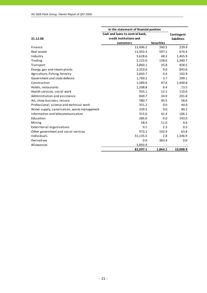|                                              | In the statement of financial position |                   |                    |
|----------------------------------------------|----------------------------------------|-------------------|--------------------|
|                                              | Cash and loans to central bank,        |                   | Contingent         |
| 31.12.08                                     | credit institutions and                |                   | <b>liabilities</b> |
|                                              | customers                              | <b>Securities</b> |                    |
| Finance                                      | 12,496.2                               | 260.5             | 239.9              |
| Real estate                                  | 11,502.3                               | 597.1             | 674.4              |
| Industry                                     | 5,628.6                                | 48.3              | 1,465.9            |
| Trading                                      | 5,123.6                                | 138.6             | 2,380.7            |
| Transport                                    | 3,860.1                                | 35.8              | 458.5              |
| Energy, gas and steam plants                 | 2,353.6                                | 0.0               | 843.6              |
| Agriculture, fishing, forestry               | 2,043.7                                | 4.4               | 102.9              |
| Government and state defence                 | 1,769.2                                | 3.7               | 299.1              |
| Construction                                 | 1,389.0                                | 47.4              | 1,440.8            |
| Hotels, restaurants                          | 1,208.8                                | 6.4               | 13.5               |
| Health services, social work                 | 935.1                                  | 12.1              | 110.0              |
| Administration and assistance                | 840.7                                  | 34.9              | 201.8              |
| Art, show business, leisure                  | 580.7                                  | 40.5              | 58.6               |
| Professional, science and technical work     | 351.2                                  | 0.0               | 44.0               |
| Water supply, canalisation, waste management | 339.5                                  | 0.0               | 90.2               |
| Information and telecommunication            | 315.0                                  | 41.4              | 106.2              |
| Education                                    | 286.6                                  | 0.0               | 143.0              |
| Mining                                       | 58.4                                   | 11.6              | 4.6                |
| Exterritorial organisations                  | 0.1                                    | 2.3               | 0.5                |
| Other government and social services         | 973.1                                  | 192.9             | 63.8               |
| Individuals                                  | 31,135.5                               | 2.8               | 1,346.9            |
| Derivatives                                  | 0.0                                    | 383.4             | 0.0                |
| Allowances                                   | $-1,093.9$                             |                   |                    |
|                                              | 82,097.1                               | 1,864.1           | 10,088.9           |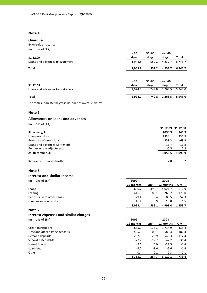### **Overdue**

By overdue maturity (millions of EEK)

|                                 | $30$    | 30<60 | over 60 |         |
|---------------------------------|---------|-------|---------|---------|
| 31.12.09                        | days    | days  | days    | Total   |
| Loans and advances to customers | 1,948.8 | 559.2 | 4,237.7 | 6,745.7 |
| Total                           | 1,948.8 | 559.2 | 4,237.7 | 6,745.7 |
|                                 |         |       |         |         |
|                                 | $30$    | 30<60 | over 60 |         |
| 31.12.08                        | days    | days  | days    | Total   |
| Loans and advances to customers | 2,924.7 | 749.8 | 2,268.5 | 5,943.0 |

# **Total 2,924.7 749.8 2,268.5 5,943.0**

The tables indicate the gross balance of overdue claims.

### **Note 5**

### **Allowances on loans and advances**

(millions of EEK)

|                                | 31.12.09 | 31.12.08 |
|--------------------------------|----------|----------|
| At January, 1                  | 1093.9   | 345.9    |
| Loan provisions                | 2334.1   | 831.9    |
| Reversals of provisions        | $-359.3$ | $-69.9$  |
| Loans and advances written off | $-11.7$  | $-16.8$  |
| Exchange rate adjustments      | $-0.5$   | 2.8      |
| At December, 31                | 3,056.5  | 1,093.9  |
| Recoveries from write-offs     | 2.0      | 8.2      |

### **Note 6**

### **Interest and similar income**

(millions of EEK) **2009 2008 12 months QIV 12 months QIV** Loans 2,600.7 496.7 4,021.7 1,016.9 Leasing 446.9 88.1 769.2 178.0 Deposits with other banks 29.4 3.4 189.5 52.3 Fixed income securities 6.5 16.4 0.9 13.0 6.5

### **Note 7**

# **Interest expenses and similar charges**

| (millions of EEK) | 2009 | 2008 |  |
|-------------------|------|------|--|
|                   | ---  |      |  |

|                                | 12 months  | QIV      | 12 months  | QIV      |
|--------------------------------|------------|----------|------------|----------|
| Credit institutions            | $-885.0$   | $-136.3$ | $-1.714.9$ | $-435.4$ |
| Time and other saving deposits | $-555.3$   | $-105.1$ | $-680.3$   | $-186.3$ |
| Demand deposits                | $-237.9$   | $-28.9$  | $-543.3$   | $-112.4$ |
| Subordinated debts             | $-77.7$    | $-12.7$  | $-147.2$   | $-36.4$  |
| Issued bonds                   | $-2.5$     | 0.0      | $-28.5$    | $-1.4$   |
| Loan funds                     | $-6.2$     | $-1.6$   | $-5.6$     | $-1.4$   |
| Other                          | $-0.4$     | $-0.1$   | $-0.3$     | $-0.1$   |
|                                | $-1.765.0$ | $-284.7$ | $-3.120.1$ | -773.4   |

**3,093.4 589.1 4,993.4 1,253.7**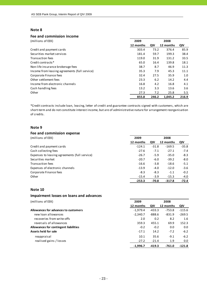### **Fee and commission income**

| (millions of EEK)                             | 2009      | 2008  |           |       |
|-----------------------------------------------|-----------|-------|-----------|-------|
|                                               | 12 months | QIV   | 12 months | QIV   |
| Credit and payment cards                      | 303.4     | 73.2  | 376.4     | 85.9  |
| Securities market services                    | 181.4     | 59.7  | 199.3     | 38.4  |
| Transaction fees                              | 119.0     | 31.9  | 131.2     | 33.5  |
| Credit contracts*                             | 65.0      | 16.4  | 139.8     | 18.1  |
| Non-life insurance brokerage fees             | 38.7      | 8.7   | 46.9      | 11.3  |
| Income from leasing agreements (full service) | 35.3      | 7.9   | 45.3      | 11.1  |
| Corporate Finance fees                        | 32.4      | 27.5  | 35.9      | 1.0   |
| Other settlement fees                         | 23.3      | 6.2   | 14.2      | 4.4   |
| Income from electronic channels               | 16.8      | 4.2   | 16.8      | 4.1   |
| Cash handling fees                            | 13.2      | 3.3   | 13.6      | 3.6   |
| Other                                         | 27.3      | 7.2   | 25.8      | 5.5   |
|                                               | 855.8     | 246.2 | 1.045.2   | 216.9 |

\*Credit contracts include loan, leasing, letter of credit and guarantee contracts signed with customers, which are short-term and do not constitute interest income, but are of administrative nature for arrangement reorganisation of credits.

### **Note 9**

### **Fee and commission expense** (millions of EEK) **2009 2008 12 months QIV 12 months QIV** Credit and payment cards ‐124.1 ‐31.8 ‐169.5 ‐35.8 Cash collecting fees **•27.6** • 7.1 **•27.1** • 7.4 Expenses to leasing agreements (full service) **•26.7** • 26.7 **·** 5.9 **·** 35.0 · 8.3 Securities market ‐20.7 ‐6.0 ‐39.2 ‐8.0 Transaction fees ● 16.6 → 16.6 ← 16.6 ← 16.6 ← 16.6 ← 18.6 ← 5.1 Expenses of electronic channels **Expenses** of electronic channels **6.13.9 •**4.0 **•**4.0 **•**4.0 **•**4.0 **•**4.6 Corporate Finance fees **•**8.3 – 1.1 – 1.2 Other -15.4 -3.9 -15.3 -4.0 **‐253.3 ‐70.8 ‐317.8 ‐72.4**

### **Note 10**

### **Impairment losses on loans and advances**

| (millions of EEK)                     | 2009       |          | 2008      |          |
|---------------------------------------|------------|----------|-----------|----------|
|                                       | 12 months  | QIV      | 12 months | QIV      |
| Allowances for advances to customers  | $-1.979.4$ | $-433.3$ | $-753.8$  | $-115.6$ |
| new loan allowances                   | $-2,340.7$ | $-888.6$ | $-831.9$  | $-269.5$ |
| recoveries from write-offs            | 2.0        | 0.2      | 8.2       | 1.6      |
| reversals of allowances               | 359.3      | 455.1    | 69.9      | 152.3    |
| Allowances for contingent liabilities | $-0.2$     | $-0.2$   | 0.0       | 0.0      |
| Assets held for sale                  | $-17.1$    | 14.2     | $-7.2$    | $-6.2$   |
| reappraisal                           | 10.1       | 35.6     | $-9.1$    | $-6.2$   |
| realised gains / losses               | $-27.2$    | $-21.4$  | 1.9       | 0.0      |
|                                       | $-1.996.7$ | $-419.3$ | $-761.0$  | $-121.8$ |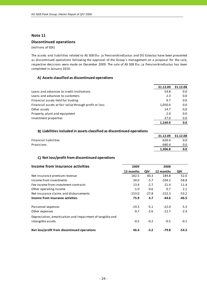### **Discontinued operations**

(millions of EEK)

The assets and liabilities related to AS SEB Elu‐ ja Pensionikindlustus and OÜ Estectus have been presented as discontinued operations following the approval of the Group´s management on a proposal for the sale, respective decisions were made on December 2009. The sale of AS SEB Elu‐ ja Pensionikindlustus has been completed in January 2010.

### **A) Assets classified as discontinued operations**

|                                                       | 31.12.09 | 31.12.08 |
|-------------------------------------------------------|----------|----------|
| Loans and advances to credit institutions             | 54.8     | 0.0      |
| Loans and advances to customers                       | 2.3      | 0.0      |
| Financial assets held for trading                     | 9.7      | 0.0      |
| Financial assets at fair value through profit or loss | 1,050.4  | 0.0      |
| Other assets                                          | 14.7     | 0.0      |
| Property, plant and equipment                         | 2.0      | 0.0      |
| Investment properties                                 | 27.0     | 0.0      |
|                                                       | 1.160.9  | 0.0      |

### **B) Liabilities included in assets classified as discontinued operations**

|                       | 31.12.09 | 31.12.08 |
|-----------------------|----------|----------|
| Financial liabilities | 626.4    | $0.0\,$  |
| Provisions            | 680.4    | $0.0\,$  |
|                       | 1,306.8  | 0.0      |

# **C) Net loss/profit from discontinued operations**

| Income from insurance activities                          | 2009      |         | 2008      |         |
|-----------------------------------------------------------|-----------|---------|-----------|---------|
|                                                           | 12 months | QIV     | 12 months | QIV     |
| Net insurance premium revenue                             | 182.5     | 40.3    | 189.8     | 52.0    |
| Income from investments                                   | 34.0      | $-5.7$  | $-104.2$  | $-58.8$ |
| Fee income from investment contracts                      | 13.4      | $-2.7$  | 21.4      | 11.4    |
| Other operating income                                    | $-1.0$    | 0.6     | 0.7       | 2.1     |
| Net insurance claims and disbursements                    | $-153.0$  | $-27.8$ | $-152.3$  | $-53.2$ |
| Income from insurance activities                          | 75.9      | 4.7     | -44.6     | $-46.5$ |
| Personnel expenses                                        | $-19.3$   | $-5.1$  | $-22.0$   | $-5.3$  |
| Other expenses                                            | $-9.7$    | $-2.6$  | $-12.7$   | $-2.4$  |
| Depreciation, amortisation and impairment of tangible and |           |         |           |         |
| intangible assets                                         | $-0.5$    | $-0.2$  | $-0.5$    | $-0.1$  |
| Net loss/profit from discontinued operations              | 46.4      | $-3.2$  | $-79.8$   | $-54.3$ |